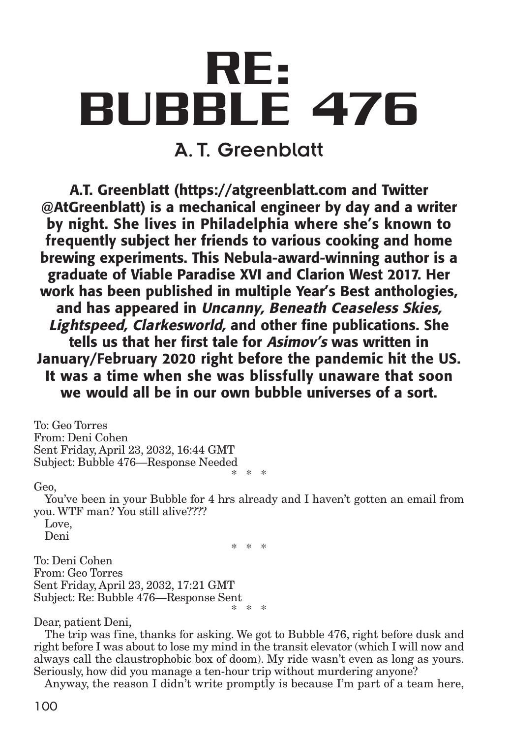# **RE: BUBBLE 476** A. T. Greenblatt

**A.T. Greenblatt (https://atgreenblatt.com and Twitter @AtGreenblatt) is a mechanical engineer by day and a writer by night. She lives in Philadelphia where she's known to frequently subject her friends to various cooking and home brewing experiments. This Nebula-award-winning author is a graduate of Viable Paradise XVI and Clarion West 2017. Her work has been published in multiple Year's Best anthologies, and has appeared in Uncanny, Beneath Ceaseless Skies, Lightspeed, Clarkesworld, and other fine publications. She tells us that her first tale for Asimov's was written in January/February 2020 right before the pandemic hit the US. It was a time when she was blissfully unaware that soon we would all be in our own bubble universes of a sort.**

To: Geo Torres From: Deni Cohen Sent Friday, April 23, 2032, 16:44 GMT Subject: Bubble 476—Response Needed \* \* \*

Geo,

You've been in your Bubble for 4 hrs already and I haven't gotten an email from you. WTF man? You still alive????

\* \* \*

Love, Deni

To: Deni Cohen From: Geo Torres Sent Friday, April 23, 2032, 17:21 GMT Subject: Re: Bubble 476—Response Sent \* \* \*

Dear, patient Deni,

The trip was fine, thanks for asking. We got to Bubble 476, right before dusk and right before I was about to lose my mind in the transit elevator (which I will now and always call the claustrophobic box of doom). My ride wasn't even as long as yours. Seriously, how did you manage a ten-hour trip without murdering anyone?

Anyway, the reason I didn't write promptly is because I'm part of a team here,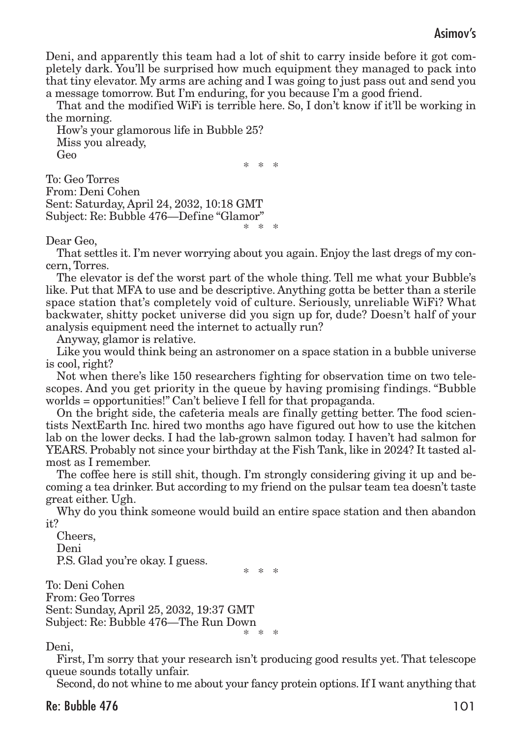Deni, and apparently this team had a lot of shit to carry inside before it got completely dark. You'll be surprised how much equipment they managed to pack into that tiny elevator. My arms are aching and I was going to just pass out and send you a message tomorrow. But I'm enduring, for you because I'm a good friend.

That and the modified WiFi is terrible here. So, I don't know if it'll be working in the morning.

How's your glamorous life in Bubble 25? Miss you already, Geo \* \* \*

To: Geo Torres From: Deni Cohen Sent: Saturday, April 24, 2032, 10:18 GMT Subject: Re: Bubble 476—Define "Glamor" \* \* \*

Dear Geo,

That settles it. I'm never worrying about you again. Enjoy the last dregs of my concern, Torres.

The elevator is def the worst part of the whole thing. Tell me what your Bubble's like. Put that MFA to use and be descriptive. Anything gotta be better than a sterile space station that's completely void of culture. Seriously, unreliable WiFi? What backwater, shitty pocket universe did you sign up for, dude? Doesn't half of your analysis equipment need the internet to actually run?

Anyway, glamor is relative.

Like you would think being an astronomer on a space station in a bubble universe is cool, right?

Not when there's like 150 researchers fighting for observation time on two telescopes. And you get priority in the queue by having promising findings. "Bubble worlds = opportunities!" Can't believe I fell for that propaganda.

On the bright side, the cafeteria meals are finally getting better. The food scientists NextEarth Inc. hired two months ago have figured out how to use the kitchen lab on the lower decks. I had the lab-grown salmon today. I haven't had salmon for YEARS. Probably not since your birthday at the Fish Tank, like in 2024? It tasted almost as I remember.

The coffee here is still shit, though. I'm strongly considering giving it up and becoming a tea drinker. But according to my friend on the pulsar team tea doesn't taste great either. Ugh.

Why do you think someone would build an entire space station and then abandon it?

Cheers, Deni P.S. Glad you're okay. I guess.

\* \* \*

To: Deni Cohen From: Geo Torres Sent: Sunday, April 25, 2032, 19:37 GMT Subject: Re: Bubble 476—The Run Down \* \* \*

Deni,

First, I'm sorry that your research isn't producing good results yet. That telescope queue sounds totally unfair.

Second, do not whine to me about your fancy protein options. If I want anything that

## Re: Bubble 476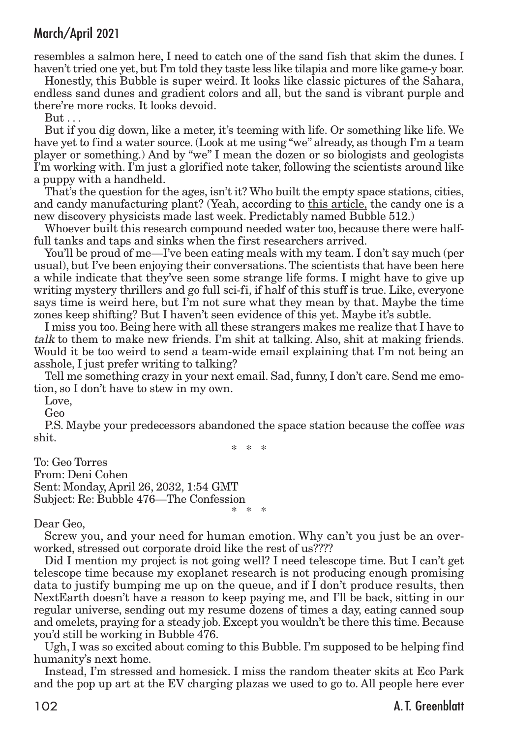resembles a salmon here, I need to catch one of the sand fish that skim the dunes. I haven't tried one yet, but I'm told they taste less like tilapia and more like game-y boar.

Honestly, this Bubble is super weird. It looks like classic pictures of the Sahara, endless sand dunes and gradient colors and all, but the sand is vibrant purple and there're more rocks. It looks devoid.

But . . .

But if you dig down, like a meter, it's teeming with life. Or something like life. We have yet to find a water source. (Look at me using "we" already, as though I'm a team player or something.) And by "we" I mean the dozen or so biologists and geologists I'm working with. I'm just a glorified note taker, following the scientists around like a puppy with a handheld.

That's the question for the ages, isn't it? Who built the empty space stations, cities, and candy manufacturing plant? (Yeah, according to this article, the candy one is a new discovery physicists made last week. Predictably named Bubble 512.)

Whoever built this research compound needed water too, because there were halffull tanks and taps and sinks when the first researchers arrived.

You'll be proud of me—I've been eating meals with my team. I don't say much (per usual), but I've been enjoying their conversations.The scientists that have been here a while indicate that they've seen some strange life forms. I might have to give up writing mystery thrillers and go full sci-fi, if half of this stuff is true. Like, everyone says time is weird here, but I'm not sure what they mean by that. Maybe the time zones keep shifting? But I haven't seen evidence of this yet. Maybe it's subtle.

I miss you too. Being here with all these strangers makes me realize that I have to talk to them to make new friends. I'm shit at talking. Also, shit at making friends. Would it be too weird to send a team-wide email explaining that I'm not being an asshole, I just prefer writing to talking?

Tell me something crazy in your next email. Sad, funny, I don't care. Send me emotion, so I don't have to stew in my own.

Love,

Geo

P.S. Maybe your predecessors abandoned the space station because the coffee was shit.

\* \* \*

To: Geo Torres From: Deni Cohen Sent: Monday, April 26, 2032, 1:54 GMT Subject: Re: Bubble 476—The Confession \* \* \*

#### Dear Geo,

Screw you, and your need for human emotion. Why can't you just be an overworked, stressed out corporate droid like the rest of us????

Did I mention my project is not going well? I need telescope time. But I can't get telescope time because my exoplanet research is not producing enough promising data to justify bumping me up on the queue, and if I don't produce results, then NextEarth doesn't have a reason to keep paying me, and I'll be back, sitting in our regular universe, sending out my resume dozens of times a day, eating canned soup and omelets, praying for a steady job. Except you wouldn't be there this time. Because you'd still be working in Bubble 476.

Ugh, I was so excited about coming to this Bubble. I'm supposed to be helping find humanity's next home.

Instead, I'm stressed and homesick. I miss the random theater skits at Eco Park and the pop up art at the EV charging plazas we used to go to. All people here ever

## 102 **A.T. Greenblatt**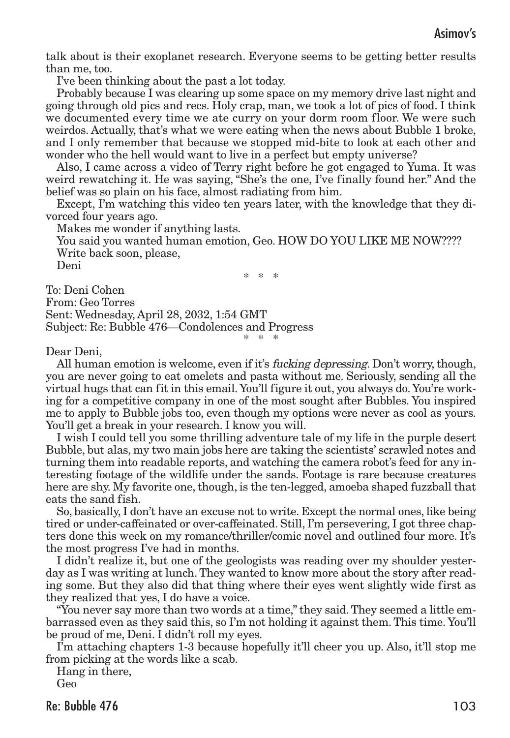talk about is their exoplanet research. Everyone seems to be getting better results than me, too.

I've been thinking about the past a lot today.

Probably because I was clearing up some space on my memory drive last night and going through old pics and recs. Holy crap, man, we took a lot of pics of food. I think we documented every time we ate curry on your dorm room floor. We were such weirdos. Actually, that's what we were eating when the news about Bubble 1 broke, and I only remember that because we stopped mid-bite to look at each other and wonder who the hell would want to live in a perfect but empty universe?

Also, I came across a video of Terry right before he got engaged to Yuma. It was weird rewatching it. He was saying, "She's the one, I've finally found her." And the belief was so plain on his face, almost radiating from him.

Except, I'm watching this video ten years later, with the knowledge that they divorced four years ago.

Makes me wonder if anything lasts.

You said you wanted human emotion, Geo. HOW DO YOU LIKE ME NOW???? Write back soon, please,

Deni

\* \* \*

To: Deni Cohen From: Geo Torres Sent: Wednesday, April 28, 2032, 1:54 GMT Subject: Re: Bubble 476—Condolences and Progress \* \* \*

Dear Deni,

All human emotion is welcome, even if it's fucking depressing. Don't worry, though, you are never going to eat omelets and pasta without me. Seriously, sending all the virtual hugs that can fit in this email. You'll figure it out, you always do. You're working for a competitive company in one of the most sought after Bubbles. You inspired me to apply to Bubble jobs too, even though my options were never as cool as yours. You'll get a break in your research. I know you will.

I wish I could tell you some thrilling adventure tale of my life in the purple desert Bubble, but alas, my two main jobs here are taking the scientists' scrawled notes and turning them into readable reports, and watching the camera robot's feed for any interesting footage of the wildlife under the sands. Footage is rare because creatures here are shy. My favorite one, though, is the ten-legged, amoeba shaped fuzzball that eats the sand fish.

So, basically, I don't have an excuse not to write. Except the normal ones, like being tired or under-caffeinated or over-caffeinated. Still, I'm persevering, I got three chapters done this week on my romance/thriller/comic novel and outlined four more. It's the most progress I've had in months.

I didn't realize it, but one of the geologists was reading over my shoulder yesterday as I was writing at lunch.They wanted to know more about the story after reading some. But they also did that thing where their eyes went slightly wide first as they realized that yes, I do have a voice.

"You never say more than two words at a time,"they said.They seemed a little embarrassed even as they said this, so I'm not holding it against them.This time. You'll be proud of me, Deni. I didn't roll my eyes.

I'm attaching chapters 1-3 because hopefully it'll cheer you up. Also, it'll stop me from picking at the words like a scab.

Hang in there,

Geo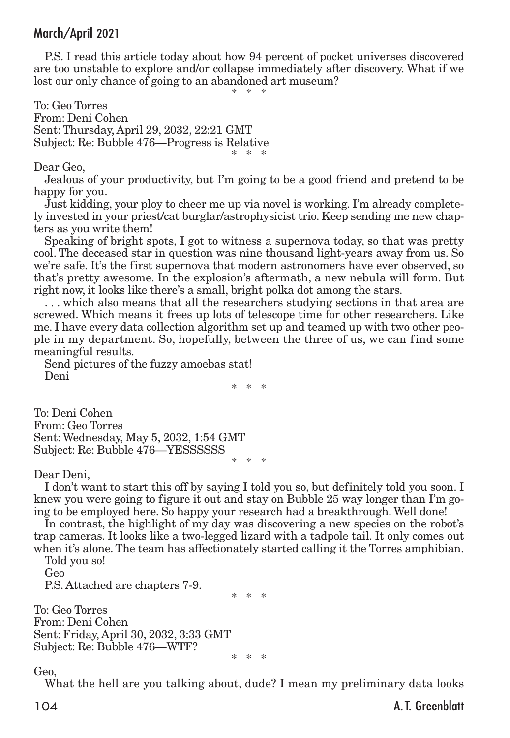P.S. I read this article today about how 94 percent of pocket universes discovered are too unstable to explore and/or collapse immediately after discovery. What if we lost our only chance of going to an abandoned art museum?

\* \* \*

To: Geo Torres From: Deni Cohen Sent: Thursday, April 29, 2032, 22:21 GMT Subject: Re: Bubble 476—Progress is Relative \* \* \*

#### Dear Geo,

Jealous of your productivity, but I'm going to be a good friend and pretend to be happy for you.

Just kidding, your ploy to cheer me up via novel is working. I'm already completely invested in your priest/cat burglar/astrophysicist trio. Keep sending me new chapters as you write them!

Speaking of bright spots, I got to witness a supernova today, so that was pretty cool. The deceased star in question was nine thousand light-years away from us. So we're safe. It's the first supernova that modern astronomers have ever observed, so that's pretty awesome. In the explosion's aftermath, a new nebula will form. But right now, it looks like there's a small, bright polka dot among the stars.

. . . which also means that all the researchers studying sections in that area are screwed. Which means it frees up lots of telescope time for other researchers. Like me. I have every data collection algorithm set up and teamed up with two other people in my department. So, hopefully, between the three of us, we can find some meaningful results.

Send pictures of the fuzzy amoebas stat! Deni

\* \* \*

To: Deni Cohen From: Geo Torres Sent: Wednesday, May 5, 2032, 1:54 GMT Subject: Re: Bubble 476—YESSSSSS \* \* \*

#### Dear Deni,

I don't want to start this off by saying I told you so, but definitely told you soon. I knew you were going to figure it out and stay on Bubble 25 way longer than I'm going to be employed here. So happy your research had a breakthrough. Well done!

In contrast, the highlight of my day was discovering a new species on the robot's trap cameras. It looks like a two-legged lizard with a tadpole tail. It only comes out when it's alone.The team has affectionately started calling it the Torres amphibian.

Told you so!

Geo

P.S. Attached are chapters 7-9.

\* \* \*

To: Geo Torres From: Deni Cohen Sent: Friday, April 30, 2032, 3:33 GMT Subject: Re: Bubble 476—WTF? \* \* \*

Geo,

What the hell are you talking about, dude? I mean my preliminary data looks

104 **A.T. Greenblatt**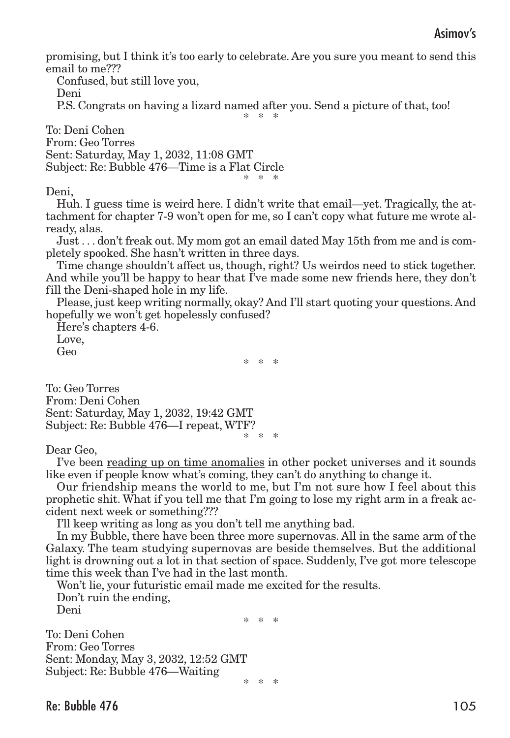promising, but I think it's too early to celebrate. Are you sure you meant to send this email to me???

Confused, but still love you,

Deni

P.S. Congrats on having a lizard named after you. Send a picture of that, too! \* \* \*

To: Deni Cohen From: Geo Torres Sent: Saturday, May 1, 2032, 11:08 GMT Subject: Re: Bubble 476—Time is a Flat Circle \* \* \*

Deni,

Huh. I guess time is weird here. I didn't write that email—yet. Tragically, the attachment for chapter 7-9 won't open for me, so I can't copy what future me wrote already, alas.

Just . . . don't freak out. My mom got an email dated May 15th from me and is completely spooked. She hasn't written in three days.

Time change shouldn't affect us, though, right? Us weirdos need to stick together. And while you'll be happy to hear that I've made some new friends here, they don't fill the Deni-shaped hole in my life.

Please, just keep writing normally, okay? And I'll start quoting your questions. And hopefully we won't get hopelessly confused?

Here's chapters 4-6. Love,

Geo

\* \* \*

To: Geo Torres From: Deni Cohen Sent: Saturday, May 1, 2032, 19:42 GMT Subject: Re: Bubble 476—I repeat, WTF? \* \* \*

Dear Geo,

I've been reading up on time anomalies in other pocket universes and it sounds like even if people know what's coming, they can't do anything to change it.

Our friendship means the world to me, but I'm not sure how I feel about this prophetic shit. What if you tell me that I'm going to lose my right arm in a freak accident next week or something???

I'll keep writing as long as you don't tell me anything bad.

In my Bubble, there have been three more supernovas. All in the same arm of the Galaxy. The team studying supernovas are beside themselves. But the additional light is drowning out a lot in that section of space. Suddenly, I've got more telescope time this week than I've had in the last month.

Won't lie, your futuristic email made me excited for the results. Don't ruin the ending,

Deni

\* \* \*

To: Deni Cohen From: Geo Torres Sent: Monday, May 3, 2032, 12:52 GMT Subject: Re: Bubble 476—Waiting \* \* \*

Re: Bubble 476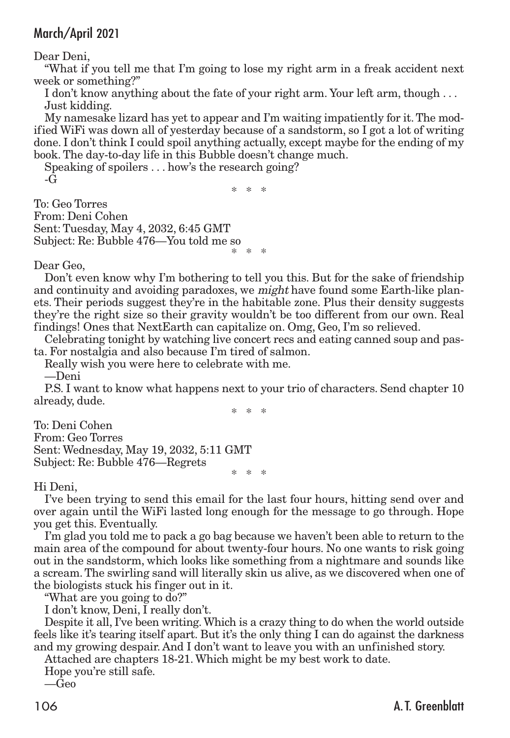Dear Deni,

"What if you tell me that I'm going to lose my right arm in a freak accident next week or something?"

I don't know anything about the fate of your right arm. Your left arm, though . . . Just kidding.

My namesake lizard has yet to appear and I'm waiting impatiently for it.The modified WiFi was down all of yesterday because of a sandstorm, so I got a lot of writing done. I don't think I could spoil anything actually, except maybe for the ending of my book. The day-to-day life in this Bubble doesn't change much.

Speaking of spoilers . . . how's the research going?  $-G$ 

\* \* \*

To: Geo Torres From: Deni Cohen Sent: Tuesday, May 4, 2032, 6:45 GMT Subject: Re: Bubble 476—You told me so \* \* \*

Dear Geo,

Don't even know why I'm bothering to tell you this. But for the sake of friendship and continuity and avoiding paradoxes, we *might* have found some Earth-like planets. Their periods suggest they're in the habitable zone. Plus their density suggests they're the right size so their gravity wouldn't be too different from our own. Real findings! Ones that NextEarth can capitalize on. Omg, Geo, I'm so relieved.

Celebrating tonight by watching live concert recs and eating canned soup and pasta. For nostalgia and also because I'm tired of salmon.

Really wish you were here to celebrate with me.

—Deni

P.S. I want to know what happens next to your trio of characters. Send chapter 10 already, dude.

\* \* \*

To: Deni Cohen From: Geo Torres Sent: Wednesday, May 19, 2032, 5:11 GMT Subject: Re: Bubble 476—Regrets \* \* \*

Hi Deni,

I've been trying to send this email for the last four hours, hitting send over and over again until the WiFi lasted long enough for the message to go through. Hope you get this. Eventually.

I'm glad you told me to pack a go bag because we haven't been able to return to the main area of the compound for about twenty-four hours. No one wants to risk going out in the sandstorm, which looks like something from a nightmare and sounds like a scream.The swirling sand will literally skin us alive, as we discovered when one of the biologists stuck his finger out in it.

"What are you going to do?"

I don't know, Deni, I really don't.

Despite it all, I've been writing.Which is a crazy thing to do when the world outside feels like it's tearing itself apart. But it's the only thing I can do against the darkness and my growing despair. And I don't want to leave you with an unfinished story.

Attached are chapters 18-21. Which might be my best work to date.

Hope you're still safe.

—Geo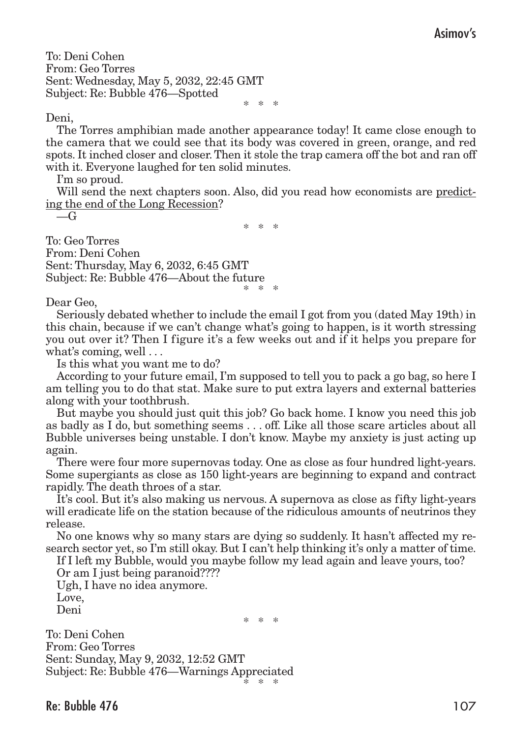To: Deni Cohen From: Geo Torres Sent: Wednesday, May 5, 2032, 22:45 GMT Subject: Re: Bubble 476—Spotted

\* \* \*

### Deni,

The Torres amphibian made another appearance today! It came close enough to the camera that we could see that its body was covered in green, orange, and red spots. It inched closer and closer.Then it stole the trap camera off the bot and ran off with it. Everyone laughed for ten solid minutes.

I'm so proud.

Will send the next chapters soon. Also, did you read how economists are predicting the end of the Long Recession?

 $-\mathcal{G}$ 

\* \* \*

To: Geo Torres From: Deni Cohen Sent: Thursday, May 6, 2032, 6:45 GMT Subject: Re: Bubble 476—About the future \* \* \*

Dear Geo,

Seriously debated whether to include the email I got from you (dated May 19th) in this chain, because if we can't change what's going to happen, is it worth stressing you out over it? Then I figure it's a few weeks out and if it helps you prepare for what's coming, well . . .

Is this what you want me to do?

According to your future email, I'm supposed to tell you to pack a go bag, so here I am telling you to do that stat. Make sure to put extra layers and external batteries along with your toothbrush.

But maybe you should just quit this job? Go back home. I know you need this job as badly as I do, but something seems . . . off. Like all those scare articles about all Bubble universes being unstable. I don't know. Maybe my anxiety is just acting up again.

There were four more supernovas today. One as close as four hundred light-years. Some supergiants as close as 150 light-years are beginning to expand and contract rapidly. The death throes of a star.

It's cool. But it's also making us nervous. A supernova as close as fifty light-years will eradicate life on the station because of the ridiculous amounts of neutrinos they release.

No one knows why so many stars are dying so suddenly. It hasn't affected my research sector yet, so I'm still okay. But I can't help thinking it's only a matter of time.

If I left my Bubble, would you maybe follow my lead again and leave yours, too?

Or am I just being paranoid???? Ugh, I have no idea anymore. Love, Deni

\* \* \*

To: Deni Cohen From: Geo Torres Sent: Sunday, May 9, 2032, 12:52 GMT Subject: Re: Bubble 476—Warnings Appreciated \* \* \*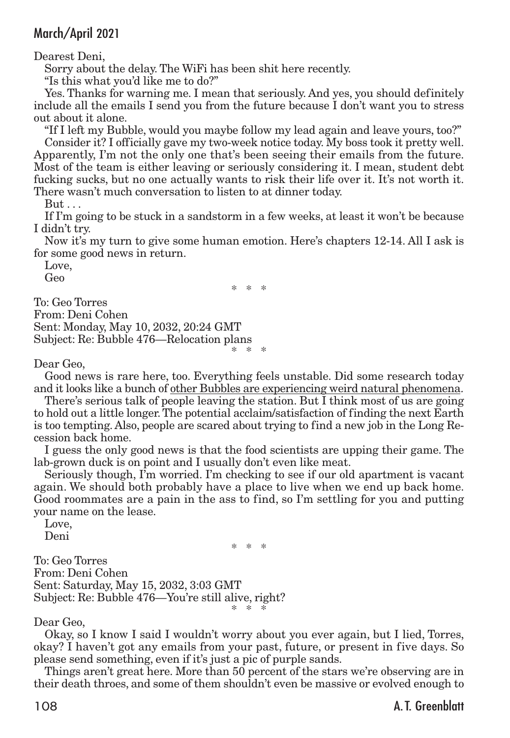Dearest Deni,

Sorry about the delay. The WiFi has been shit here recently.

"Is this what you'd like me to do?"

Yes. Thanks for warning me. I mean that seriously. And yes, you should definitely include all the emails I send you from the future because I don't want you to stress out about it alone.

"If I left my Bubble, would you maybe follow my lead again and leave yours, too?" Consider it? I officially gave my two-week notice today. My boss took it pretty well. Apparently, I'm not the only one that's been seeing their emails from the future. Most of the team is either leaving or seriously considering it. I mean, student debt fucking sucks, but no one actually wants to risk their life over it. It's not worth it. There wasn't much conversation to listen to at dinner today.

But ...

If I'm going to be stuck in a sandstorm in a few weeks, at least it won't be because I didn't try.

Now it's my turn to give some human emotion. Here's chapters 12-14. All I ask is for some good news in return.

\* \* \*

Love,

Geo

To: Geo Torres From: Deni Cohen Sent: Monday, May 10, 2032, 20:24 GMT Subject: Re: Bubble 476—Relocation plans \* \* \*

Dear Geo,

Good news is rare here, too. Everything feels unstable. Did some research today and it looks like a bunch of other Bubbles are experiencing weird natural phenomena.

There's serious talk of people leaving the station. But I think most of us are going to hold out a little longer.The potential acclaim/satisfaction of finding the next Earth is too tempting. Also, people are scared about trying to find a new job in the Long Recession back home.

I guess the only good news is that the food scientists are upping their game. The lab-grown duck is on point and I usually don't even like meat.

Seriously though, I'm worried. I'm checking to see if our old apartment is vacant again. We should both probably have a place to live when we end up back home. Good roommates are a pain in the ass to find, so I'm settling for you and putting your name on the lease.

Love, Deni

\* \* \* To: Geo Torres From: Deni Cohen Sent: Saturday, May 15, 2032, 3:03 GMT Subject: Re: Bubble 476—You're still alive, right? \* \* \*

Dear Geo,

Okay, so I know I said I wouldn't worry about you ever again, but I lied, Torres, okay? I haven't got any emails from your past, future, or present in five days. So please send something, even if it's just a pic of purple sands.

Things aren't great here. More than 50 percent of the stars we're observing are in their death throes, and some of them shouldn't even be massive or evolved enough to

108 A.T. Greenblatt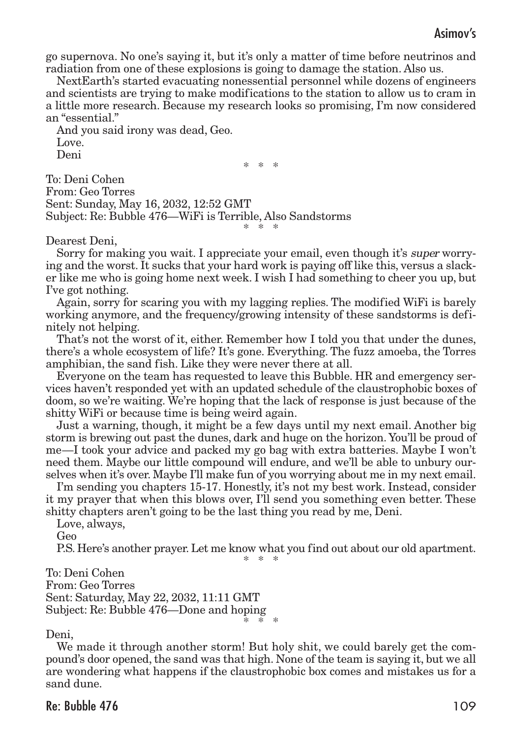go supernova. No one's saying it, but it's only a matter of time before neutrinos and radiation from one of these explosions is going to damage the station. Also us.

NextEarth's started evacuating nonessential personnel while dozens of engineers and scientists are trying to make modifications to the station to allow us to cram in a little more research. Because my research looks so promising, I'm now considered an "essential."

And you said irony was dead, Geo. Love. Deni

\* \* \*

To: Deni Cohen From: Geo Torres Sent: Sunday, May 16, 2032, 12:52 GMT Subject: Re: Bubble 476—WiFi is Terrible, Also Sandstorms \* \* \*

Dearest Deni,

Sorry for making you wait. I appreciate your email, even though it's super worrying and the worst. It sucks that your hard work is paying off like this, versus a slacker like me who is going home next week. I wish I had something to cheer you up, but I've got nothing.

Again, sorry for scaring you with my lagging replies. The modified WiFi is barely working anymore, and the frequency/growing intensity of these sandstorms is definitely not helping.

That's not the worst of it, either. Remember how I told you that under the dunes, there's a whole ecosystem of life? It's gone. Everything. The fuzz amoeba, the Torres amphibian, the sand fish. Like they were never there at all.

Everyone on the team has requested to leave this Bubble. HR and emergency services haven't responded yet with an updated schedule of the claustrophobic boxes of doom, so we're waiting. We're hoping that the lack of response is just because of the shitty WiFi or because time is being weird again.

Just a warning, though, it might be a few days until my next email. Another big storm is brewing out past the dunes, dark and huge on the horizon. You'll be proud of me—I took your advice and packed my go bag with extra batteries. Maybe I won't need them. Maybe our little compound will endure, and we'll be able to unbury ourselves when it's over. Maybe I'll make fun of you worrying about me in my next email.

I'm sending you chapters 15-17. Honestly, it's not my best work. Instead, consider it my prayer that when this blows over, I'll send you something even better. These shitty chapters aren't going to be the last thing you read by me, Deni.

Love, always,

Geo

P.S. Here's another prayer.Let me know what you find out about our old apartment.

\* \* \*

To: Deni Cohen From: Geo Torres Sent: Saturday, May 22, 2032, 11:11 GMT Subject: Re: Bubble 476—Done and hoping \* \* \*

## Deni,

We made it through another storm! But holy shit, we could barely get the compound's door opened, the sand was that high. None of the team is saying it, but we all are wondering what happens if the claustrophobic box comes and mistakes us for a sand dune.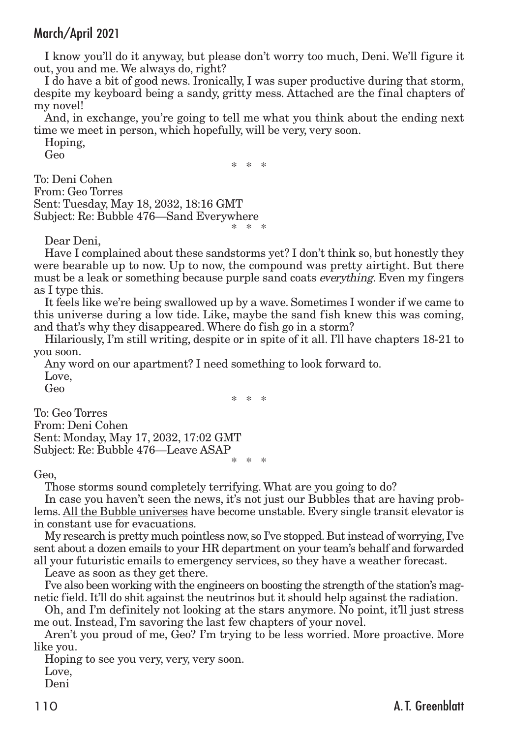I know you'll do it anyway, but please don't worry too much, Deni. We'll figure it out, you and me. We always do, right?

I do have a bit of good news. Ironically, I was super productive during that storm, despite my keyboard being a sandy, gritty mess. Attached are the final chapters of my novel!

And, in exchange, you're going to tell me what you think about the ending next time we meet in person, which hopefully, will be very, very soon.

Hoping, Geo

\* \* \*

To: Deni Cohen From: Geo Torres Sent: Tuesday, May 18, 2032, 18:16 GMT Subject: Re: Bubble 476—Sand Everywhere \* \* \*

Dear Deni,

Have I complained about these sandstorms yet? I don't think so, but honestly they were bearable up to now. Up to now, the compound was pretty airtight. But there must be a leak or something because purple sand coats *everything*. Even my fingers as I type this.

It feels like we're being swallowed up by a wave. Sometimes I wonder if we came to this universe during a low tide. Like, maybe the sand fish knew this was coming, and that's why they disappeared. Where do fish go in a storm?

Hilariously, I'm still writing, despite or in spite of it all. I'll have chapters 18-21 to you soon.

Any word on our apartment? I need something to look forward to. Love,

Geo

\* \* \*

To: Geo Torres From: Deni Cohen Sent: Monday, May 17, 2032, 17:02 GMT Subject: Re: Bubble 476—Leave ASAP \* \* \*

## Geo,

Those storms sound completely terrifying. What are you going to do?

In case you haven't seen the news, it's not just our Bubbles that are having problems. All the Bubble universes have become unstable. Every single transit elevator is in constant use for evacuations.

My research is pretty much pointless now, so I've stopped. Butinstead of worrying, I've sent about a dozen emails to your HR department on your team's behalf and forwarded all your futuristic emails to emergency services, so they have a weather forecast.

Leave as soon as they get there.

I've also been working with the engineers on boosting the strength of the station's magnetic field. It'll do shit against the neutrinos but it should help against the radiation.

Oh, and I'm definitely not looking at the stars anymore. No point, it'll just stress me out. Instead, I'm savoring the last few chapters of your novel.

Aren't you proud of me, Geo? I'm trying to be less worried. More proactive. More like you.

Hoping to see you very, very, very soon. Love,

Deni